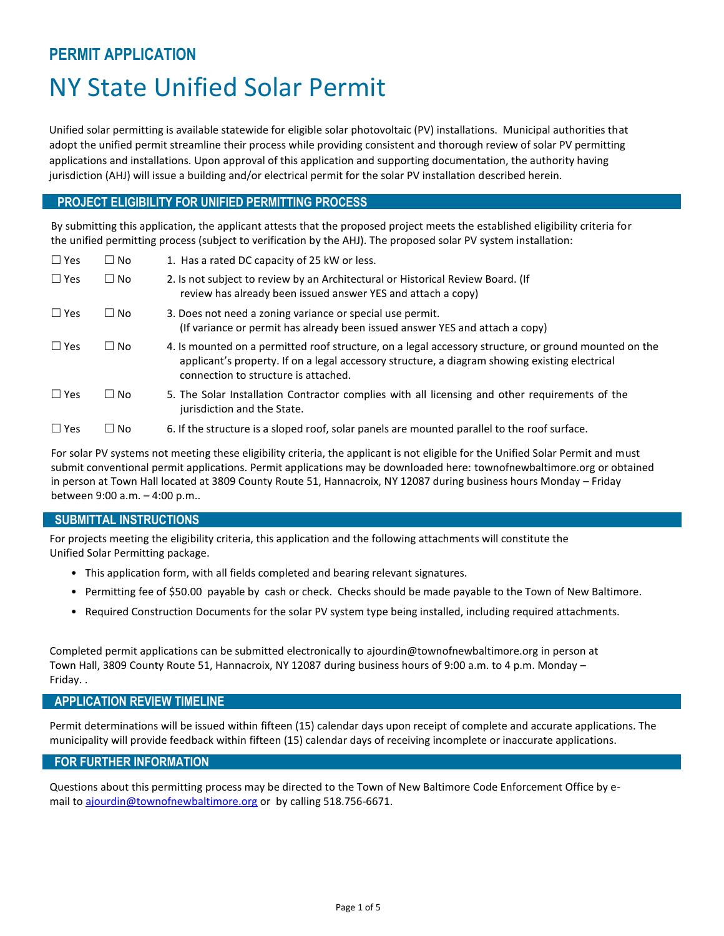# **PERMIT APPLICATION** NY State Unified Solar Permit

Unified solar permitting is available statewide for eligible solar photovoltaic (PV) installations. Municipal authorities that adopt the unified permit streamline their process while providing consistent and thorough review of solar PV permitting applications and installations. Upon approval of this application and supporting documentation, the authority having jurisdiction (AHJ) will issue a building and/or electrical permit for the solar PV installation described herein.

## **PROJECT ELIGIBILITY FOR UNIFIED PERMITTING PROCESS**

By submitting this application, the applicant attests that the proposed project meets the established eligibility criteria for the unified permitting process (subject to verification by the AHJ). The proposed solar PV system installation:

| $\Box$ Yes | $\Box$ No | 1. Has a rated DC capacity of 25 kW or less.                                                                                                                                                                                                    |
|------------|-----------|-------------------------------------------------------------------------------------------------------------------------------------------------------------------------------------------------------------------------------------------------|
| $\Box$ Yes | $\Box$ No | 2. Is not subject to review by an Architectural or Historical Review Board. (If<br>review has already been issued answer YES and attach a copy)                                                                                                 |
| $\Box$ Yes | $\Box$ No | 3. Does not need a zoning variance or special use permit.<br>(If variance or permit has already been issued answer YES and attach a copy)                                                                                                       |
| $\Box$ Yes | $\Box$ No | 4. Is mounted on a permitted roof structure, on a legal accessory structure, or ground mounted on the<br>applicant's property. If on a legal accessory structure, a diagram showing existing electrical<br>connection to structure is attached. |
| $\Box$ Yes | $\Box$ No | 5. The Solar Installation Contractor complies with all licensing and other requirements of the<br>jurisdiction and the State.                                                                                                                   |
| $\Box$ Yes | □ No      | 6. If the structure is a sloped roof, solar panels are mounted parallel to the roof surface.                                                                                                                                                    |

For solar PV systems not meeting these eligibility criteria, the applicant is not eligible for the Unified Solar Permit and must submit conventional permit applications. Permit applications may be downloaded here: townofnewbaltimore.org or obtained in person at Town Hall located at 3809 County Route 51, Hannacroix, NY 12087 during business hours Monday – Friday between 9:00 a.m. – 4:00 p.m..

#### **SUBMITTAL INSTRUCTIONS**

For projects meeting the eligibility criteria, this application and the following attachments will constitute the Unified Solar Permitting package.

- This application form, with all fields completed and bearing relevant signatures.
- Permitting fee of \$50.00 payable by cash or check. Checks should be made payable to the Town of New Baltimore.
- Required Construction Documents for the solar PV system type being installed, including required attachments.

Completed permit applications can be submitted electronically to ajourdin@townofnewbaltimore.org in person at Town Hall, 3809 County Route 51, Hannacroix, NY 12087 during business hours of 9:00 a.m. to 4 p.m. Monday – Friday. .

#### **APPLICATION REVIEW TIMELINE**

Permit determinations will be issued within fifteen (15) calendar days upon receipt of complete and accurate applications. The municipality will provide feedback within fifteen (15) calendar days of receiving incomplete or inaccurate applications.

#### **FOR FURTHER INFORMATION**

Questions about this permitting process may be directed to the Town of New Baltimore Code Enforcement Office by email t[o ajourdin@townofnewbaltimore.org](mailto:ajourdin@townofnewbaltimore.org) or by calling 518.756-6671.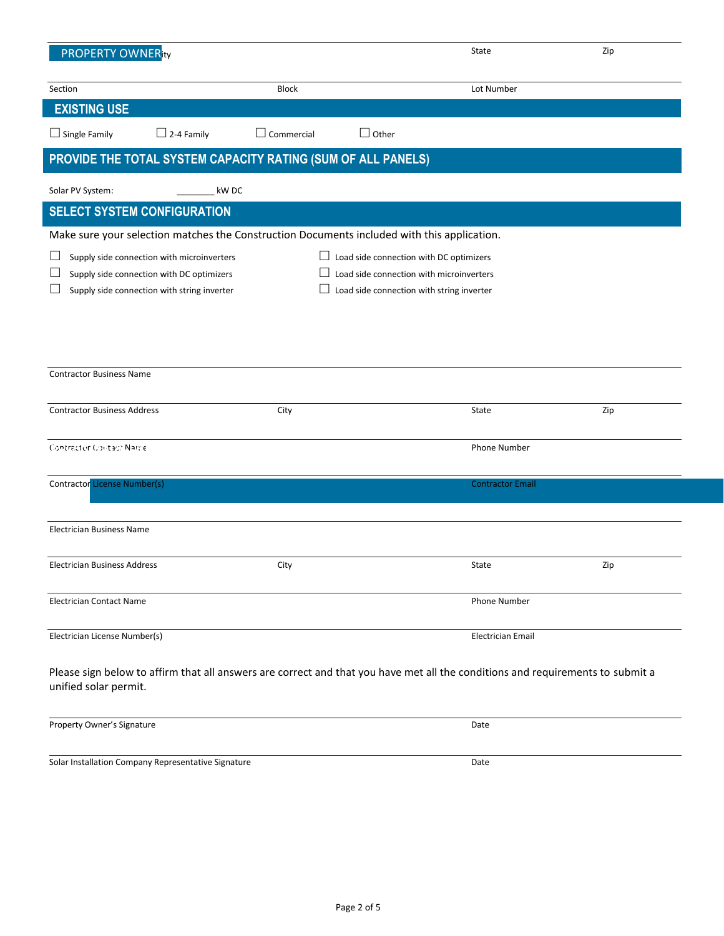| <b>PROPERTY OWNER</b> ity                                                                                                                                                                                                                                                         |                   |                   |              | State                    | Zip |  |  |  |
|-----------------------------------------------------------------------------------------------------------------------------------------------------------------------------------------------------------------------------------------------------------------------------------|-------------------|-------------------|--------------|--------------------------|-----|--|--|--|
| Section                                                                                                                                                                                                                                                                           |                   | <b>Block</b>      |              | Lot Number               |     |  |  |  |
| <b>EXISTING USE</b>                                                                                                                                                                                                                                                               |                   |                   |              |                          |     |  |  |  |
| $\Box$ Single Family                                                                                                                                                                                                                                                              | $\Box$ 2-4 Family | $\Box$ Commercial | $\Box$ Other |                          |     |  |  |  |
| PROVIDE THE TOTAL SYSTEM CAPACITY RATING (SUM OF ALL PANELS)                                                                                                                                                                                                                      |                   |                   |              |                          |     |  |  |  |
| Solar PV System:                                                                                                                                                                                                                                                                  | kW DC             |                   |              |                          |     |  |  |  |
| <b>SELECT SYSTEM CONFIGURATION</b>                                                                                                                                                                                                                                                |                   |                   |              |                          |     |  |  |  |
| Make sure your selection matches the Construction Documents included with this application.                                                                                                                                                                                       |                   |                   |              |                          |     |  |  |  |
| $\Box$ Load side connection with DC optimizers<br>Supply side connection with microinverters<br>Load side connection with microinverters<br>Supply side connection with DC optimizers<br>Supply side connection with string inverter<br>Load side connection with string inverter |                   |                   |              |                          |     |  |  |  |
| <b>Contractor Business Name</b>                                                                                                                                                                                                                                                   |                   |                   |              |                          |     |  |  |  |
| <b>Contractor Business Address</b>                                                                                                                                                                                                                                                |                   | City              |              | State                    | Zip |  |  |  |
| Contractor Contact Name                                                                                                                                                                                                                                                           |                   |                   |              | <b>Phone Number</b>      |     |  |  |  |
| Contractor License Number(s)                                                                                                                                                                                                                                                      |                   |                   |              | <b>Contractor Email</b>  |     |  |  |  |
| <b>Electrician Business Name</b>                                                                                                                                                                                                                                                  |                   |                   |              |                          |     |  |  |  |
| <b>Electrician Business Address</b>                                                                                                                                                                                                                                               |                   | City              |              | State                    | Zip |  |  |  |
| <b>Electrician Contact Name</b>                                                                                                                                                                                                                                                   |                   |                   |              | <b>Phone Number</b>      |     |  |  |  |
| Electrician License Number(s)                                                                                                                                                                                                                                                     |                   |                   |              | <b>Electrician Email</b> |     |  |  |  |
| Please sign below to affirm that all answers are correct and that you have met all the conditions and requirements to submit a<br>unified solar permit.                                                                                                                           |                   |                   |              |                          |     |  |  |  |
| Property Owner's Signature                                                                                                                                                                                                                                                        |                   |                   |              | Date                     |     |  |  |  |
| Solar Installation Company Representative Signature                                                                                                                                                                                                                               |                   |                   |              | Date                     |     |  |  |  |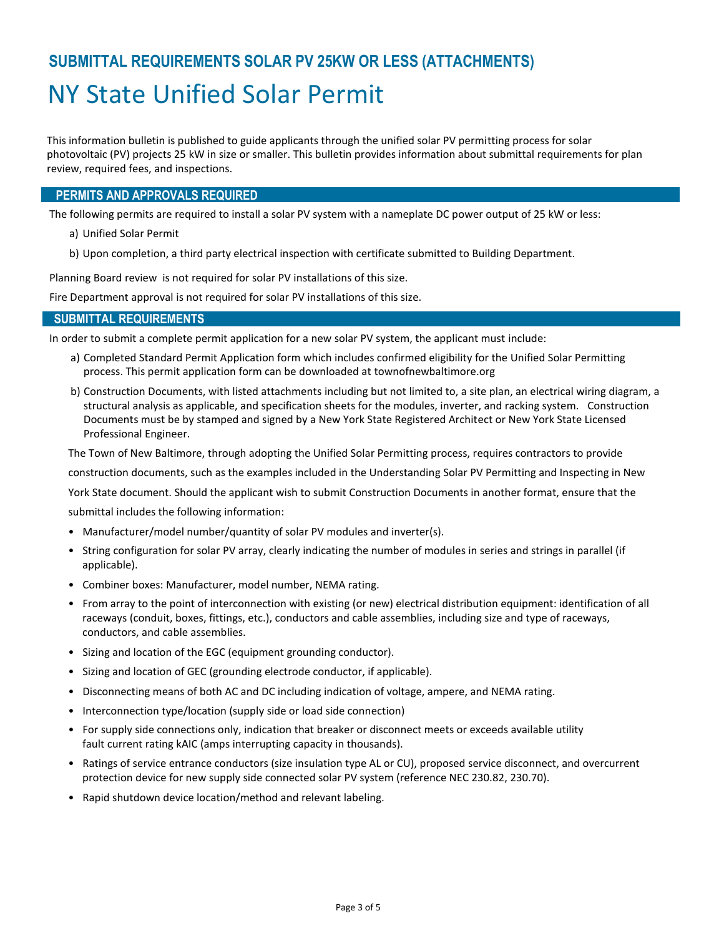# **SUBMITTAL REQUIREMENTS SOLAR PV 25KW OR LESS (ATTACHMENTS)** NY State Unified Solar Permit

This information bulletin is published to guide applicants through the unified solar PV permitting process for solar photovoltaic (PV) projects 25 kW in size or smaller. This bulletin provides information about submittal requirements for plan review, required fees, and inspections.

#### **PERMITS AND APPROVALS REQUIRED**

The following permits are required to install a solar PV system with a nameplate DC power output of 25 kW or less:

- a) Unified Solar Permit
- b) Upon completion, a third party electrical inspection with certificate submitted to Building Department.

Planning Board review is not required for solar PV installations of this size.

Fire Department approval is not required for solar PV installations of this size.

#### **SUBMITTAL REQUIREMENTS**

In order to submit a complete permit application for a new solar PV system, the applicant must include:

- a) Completed Standard Permit Application form which includes confirmed eligibility for the Unified Solar Permitting process. This permit application form can be downloaded at townofnewbaltimore.org
- b) Construction Documents, with listed attachments including but not limited to, a site plan, an electrical wiring diagram, a structural analysis as applicable, and specification sheets for the modules, inverter, and racking system. Construction Documents must be by stamped and signed by a New York State Registered Architect or New York State Licensed Professional Engineer.

The Town of New Baltimore, through adopting the Unified Solar Permitting process, requires contractors to provide

construction documents, such as the examples included in the Understanding Solar PV Permitting and Inspecting in New

York State document. Should the applicant wish to submit Construction Documents in another format, ensure that the

submittal includes the following information:

- Manufacturer/model number/quantity of solar PV modules and inverter(s).
- String configuration for solar PV array, clearly indicating the number of modules in series and strings in parallel (if applicable).
- Combiner boxes: Manufacturer, model number, NEMA rating.
- From array to the point of interconnection with existing (or new) electrical distribution equipment: identification of all raceways (conduit, boxes, fittings, etc.), conductors and cable assemblies, including size and type of raceways, conductors, and cable assemblies.
- Sizing and location of the EGC (equipment grounding conductor).
- Sizing and location of GEC (grounding electrode conductor, if applicable).
- Disconnecting means of both AC and DC including indication of voltage, ampere, and NEMA rating.
- Interconnection type/location (supply side or load side connection)
- For supply side connections only, indication that breaker or disconnect meets or exceeds available utility fault current rating kAIC (amps interrupting capacity in thousands).
- Ratings of service entrance conductors (size insulation type AL or CU), proposed service disconnect, and overcurrent protection device for new supply side connected solar PV system (reference NEC 230.82, 230.70).
- Rapid shutdown device location/method and relevant labeling.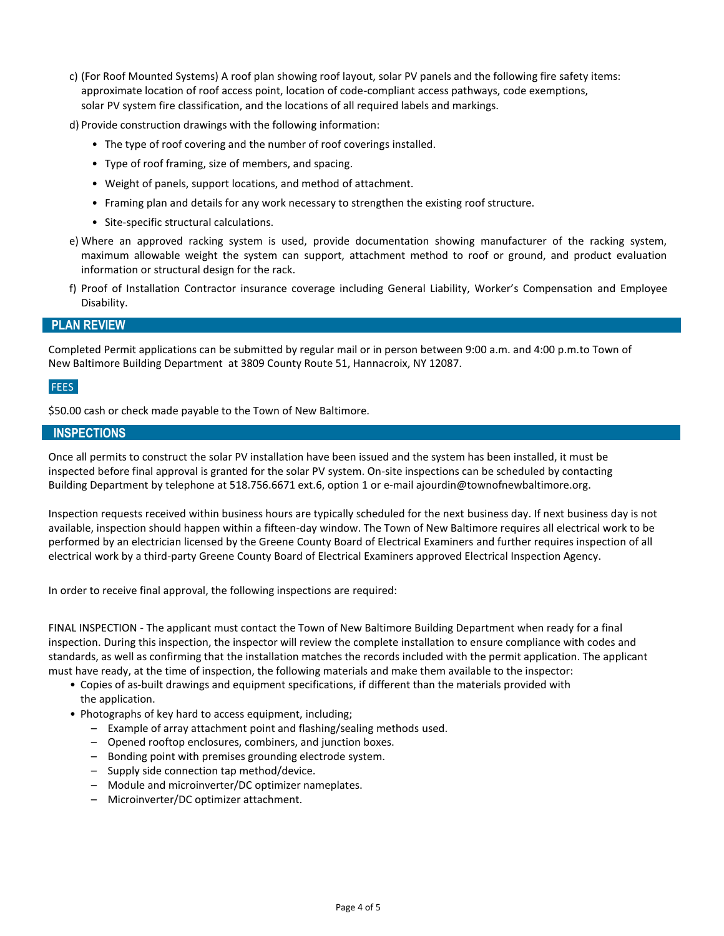c) (For Roof Mounted Systems) A roof plan showing roof layout, solar PV panels and the following fire safety items: approximate location of roof access point, location of code-compliant access pathways, code exemptions, solar PV system fire classification, and the locations of all required labels and markings.

d) Provide construction drawings with the following information:

- The type of roof covering and the number of roof coverings installed.
- Type of roof framing, size of members, and spacing.
- Weight of panels, support locations, and method of attachment.
- Framing plan and details for any work necessary to strengthen the existing roof structure.
- Site-specific structural calculations.
- e) Where an approved racking system is used, provide documentation showing manufacturer of the racking system, maximum allowable weight the system can support, attachment method to roof or ground, and product evaluation information or structural design for the rack.
- f) Proof of Installation Contractor insurance coverage including General Liability, Worker's Compensation and Employee Disability.

#### **PLAN REVIEW**

Completed Permit applications can be submitted by regular mail or in person between 9:00 a.m. and 4:00 p.m.to Town of New Baltimore Building Department at 3809 County Route 51, Hannacroix, NY 12087.

#### **FEES**

\$50.00 cash or check made payable to the Town of New Baltimore.

#### **INSPECTIONS**

Once all permits to construct the solar PV installation have been issued and the system has been installed, it must be inspected before final approval is granted for the solar PV system. On-site inspections can be scheduled by contacting Building Department by telephone at 518.756.6671 ext.6, option 1 or e-mail ajourdin@townofnewbaltimore.org.

Inspection requests received within business hours are typically scheduled for the next business day. If next business day is not available, inspection should happen within a fifteen-day window. The Town of New Baltimore requires all electrical work to be performed by an electrician licensed by the Greene County Board of Electrical Examiners and further requires inspection of all electrical work by a third-party Greene County Board of Electrical Examiners approved Electrical Inspection Agency.

In order to receive final approval, the following inspections are required:

FINAL INSPECTION - The applicant must contact the Town of New Baltimore Building Department when ready for a final inspection. During this inspection, the inspector will review the complete installation to ensure compliance with codes and standards, as well as confirming that the installation matches the records included with the permit application. The applicant must have ready, at the time of inspection, the following materials and make them available to the inspector:

- Copies of as-built drawings and equipment specifications, if different than the materials provided with the application.
- Photographs of key hard to access equipment, including;
	- Example of array attachment point and flashing/sealing methods used.
	- Opened rooftop enclosures, combiners, and junction boxes.
	- Bonding point with premises grounding electrode system.
	- Supply side connection tap method/device.
	- Module and microinverter/DC optimizer nameplates.
	- Microinverter/DC optimizer attachment.